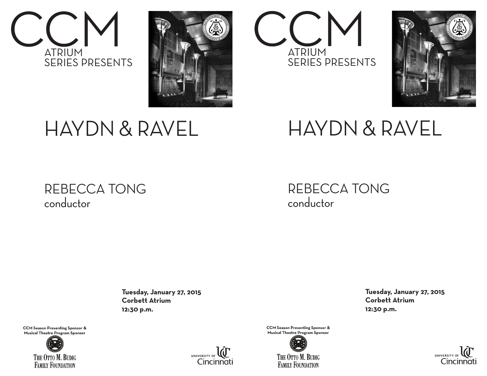



## HAYDN & RAVEL

### REBECCA TONG conductor

 **Tuesday, January 27, 2015 Corbett Atrium 12:30 p.m.**

**CCM Season Presenting Sponsor & Musical Theatre Program Sponsor**